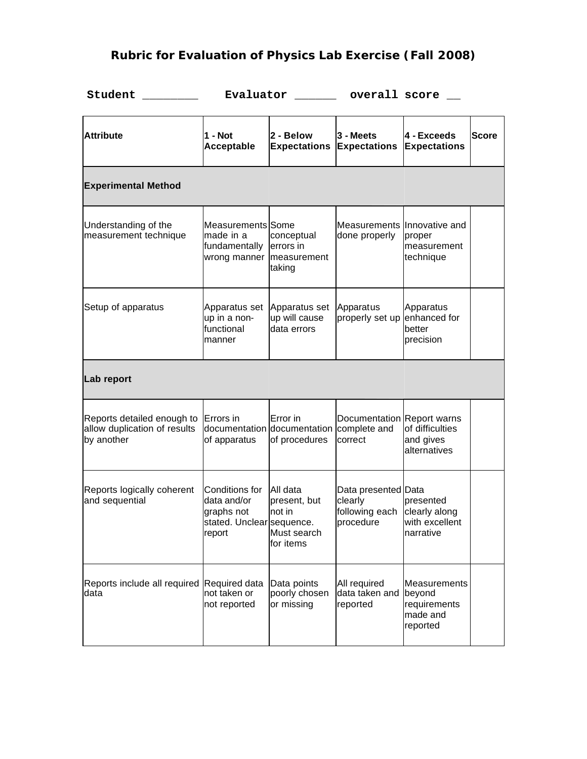## **Rubric for Evaluation of Physics Lab Exercise (Fall 2008)**

| Student                                                                  | Evaluator                                                                                 |                                                                       | overall score                                                 |                                                                |       |  |  |  |  |  |
|--------------------------------------------------------------------------|-------------------------------------------------------------------------------------------|-----------------------------------------------------------------------|---------------------------------------------------------------|----------------------------------------------------------------|-------|--|--|--|--|--|
| <b>Attribute</b>                                                         | 1 - Not<br><b>Acceptable</b>                                                              | 2 - Below<br><b>Expectations</b>                                      | 3 - Meets<br><b>Expectations</b>                              | 4 - Exceeds<br><b>Expectations</b>                             | Score |  |  |  |  |  |
| <b>Experimental Method</b>                                               |                                                                                           |                                                                       |                                                               |                                                                |       |  |  |  |  |  |
| Understanding of the<br>measurement technique                            | Measurements Some<br>made in a<br>fundamentally<br>wrong manner   measurement             | conceptual<br>errors in<br>taking                                     | Measurements Innovative and<br>done properly                  | proper<br>measurement<br>technique                             |       |  |  |  |  |  |
| Setup of apparatus                                                       | Apparatus set<br>up in a non-<br>functional<br>manner                                     | Apparatus set<br>up will cause<br>data errors                         | Apparatus<br>properly set up                                  | Apparatus<br>enhanced for<br>better<br>precision               |       |  |  |  |  |  |
| <b>Lab report</b>                                                        |                                                                                           |                                                                       |                                                               |                                                                |       |  |  |  |  |  |
| Reports detailed enough to<br>allow duplication of results<br>by another | Errors in<br>of apparatus                                                                 | Error in<br>documentation documentation complete and<br>of procedures | Documentation Report warns<br>correct                         | of difficulties<br>and gives<br>alternatives                   |       |  |  |  |  |  |
| Reports logically coherent<br>and sequential                             | <b>Conditions for</b><br>data and/or<br>graphs not<br>stated. Unclear sequence.<br>report | All data<br>present, but<br>not in<br>Must search<br>for items        | Data presented Data<br>clearly<br>following each<br>procedure | presented<br>clearly along<br>with excellent<br>narrative      |       |  |  |  |  |  |
| Reports include all required<br>data                                     | Required data<br>not taken or<br>not reported                                             | Data points<br>poorly chosen<br>or missing                            | All required<br>data taken and<br>reported                    | Measurements<br>beyond<br>requirements<br>made and<br>reported |       |  |  |  |  |  |